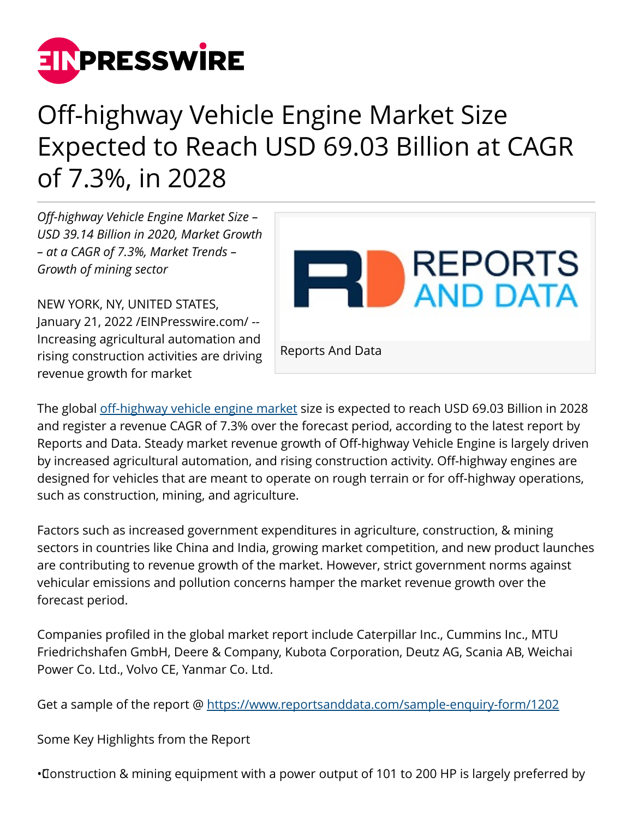

## Off-highway Vehicle Engine Market Size Expected to Reach USD 69.03 Billion at CAGR of 7.3%, in 2028

*Off-highway Vehicle Engine Market Size – USD 39.14 Billion in 2020, Market Growth – at a CAGR of 7.3%, Market Trends – Growth of mining sector*

NEW YORK, NY, UNITED STATES, January 21, 2022 /[EINPresswire.com](http://www.einpresswire.com)/ -- Increasing agricultural automation and rising construction activities are driving revenue growth for market



The global [off-highway vehicle engine market](https://www.reportsanddata.com/report-detail/off-highway-vehicle-engine-market) size is expected to reach USD 69.03 Billion in 2028 and register a revenue CAGR of 7.3% over the forecast period, according to the latest report by Reports and Data. Steady market revenue growth of Off-highway Vehicle Engine is largely driven by increased agricultural automation, and rising construction activity. Off-highway engines are designed for vehicles that are meant to operate on rough terrain or for off-highway operations, such as construction, mining, and agriculture.

Factors such as increased government expenditures in agriculture, construction, & mining sectors in countries like China and India, growing market competition, and new product launches are contributing to revenue growth of the market. However, strict government norms against vehicular emissions and pollution concerns hamper the market revenue growth over the forecast period.

Companies profiled in the global market report include Caterpillar Inc., Cummins Inc., MTU Friedrichshafen GmbH, Deere & Company, Kubota Corporation, Deutz AG, Scania AB, Weichai Power Co. Ltd., Volvo CE, Yanmar Co. Ltd.

Get a sample of the report @<https://www.reportsanddata.com/sample-enquiry-form/1202>

Some Key Highlights from the Report

• Construction & mining equipment with a power output of 101 to 200 HP is largely preferred by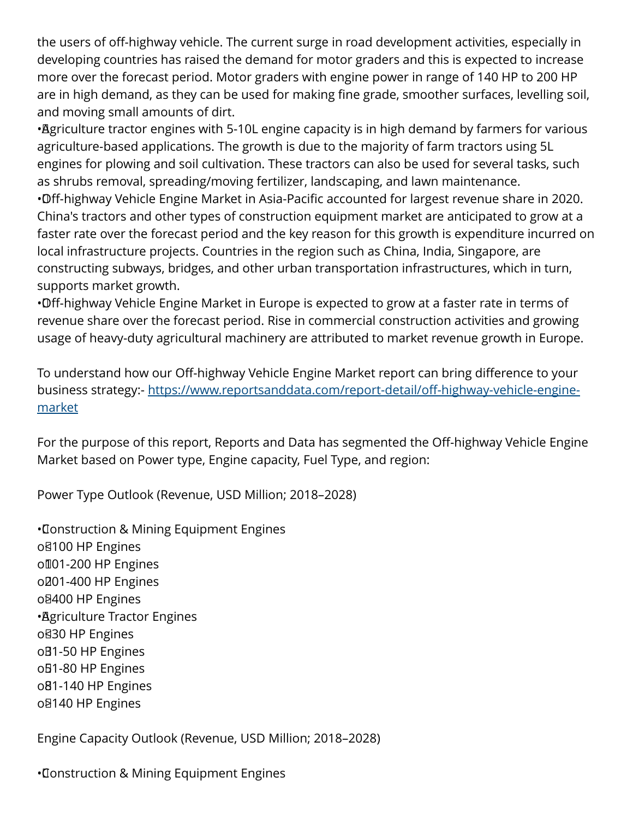the users of off-highway vehicle. The current surge in road development activities, especially in developing countries has raised the demand for motor graders and this is expected to increase more over the forecast period. Motor graders with engine power in range of 140 HP to 200 HP are in high demand, as they can be used for making fine grade, smoother surfaces, levelling soil, and moving small amounts of dirt.

• Agriculture tractor engines with 5-10L engine capacity is in high demand by farmers for various agriculture-based applications. The growth is due to the majority of farm tractors using 5L engines for plowing and soil cultivation. These tractors can also be used for several tasks, such as shrubs removal, spreading/moving fertilizer, landscaping, and lawn maintenance.

• Off-highway Vehicle Engine Market in Asia-Pacific accounted for largest revenue share in 2020. China's tractors and other types of construction equipment market are anticipated to grow at a faster rate over the forecast period and the key reason for this growth is expenditure incurred on local infrastructure projects. Countries in the region such as China, India, Singapore, are constructing subways, bridges, and other urban transportation infrastructures, which in turn, supports market growth.

• Off-highway Vehicle Engine Market in Europe is expected to grow at a faster rate in terms of revenue share over the forecast period. Rise in commercial construction activities and growing usage of heavy-duty agricultural machinery are attributed to market revenue growth in Europe.

To understand how our Off-highway Vehicle Engine Market report can bring difference to your business strategy:- [https://www.reportsanddata.com/report-detail/off-highway-vehicle-engine](https://www.reportsanddata.com/report-detail/off-highway-vehicle-engine-market)[market](https://www.reportsanddata.com/report-detail/off-highway-vehicle-engine-market)

For the purpose of this report, Reports and Data has segmented the Off-highway Vehicle Engine Market based on Power type, Engine capacity, Fuel Type, and region:

Power Type Outlook (Revenue, USD Million; 2018–2028)

• Construction & Mining Equipment Engines o<sub>8100</sub> HP Engines oll01-200 HP Engines o<sub>201</sub>-400 HP Engines o<sub>8400</sub> HP Engines • Agriculture Tractor Engines o<sub>830</sub> HP Engines oB1-50 HP Engines oB1-80 HP Engines o<sub>81</sub>-140 HP Engines o<sub>8140</sub> HP Engines

Engine Capacity Outlook (Revenue, USD Million; 2018–2028)

• Construction & Mining Equipment Engines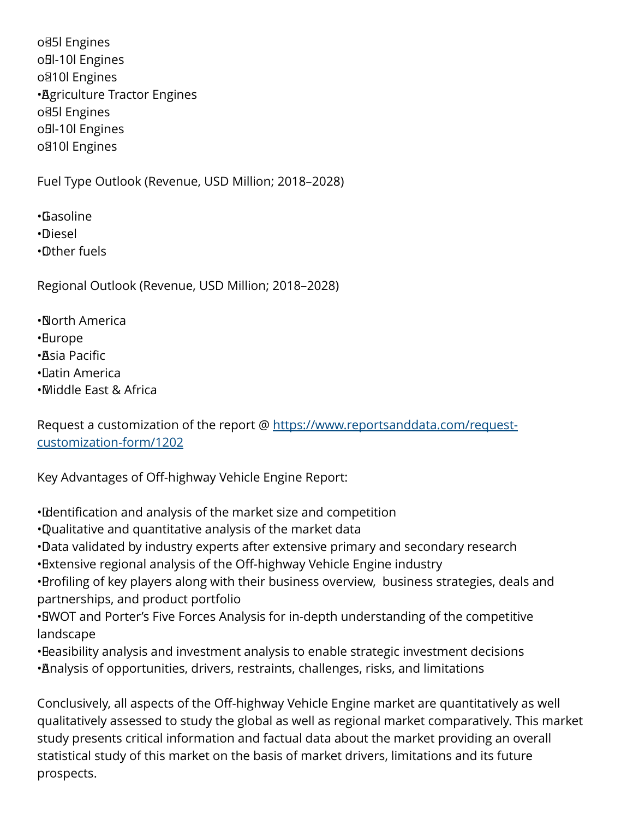o<sub>85</sub> Engines o<sub>Bl</sub>-10l Engines o<sub> $810$ </sub> Engines • Agriculture Tractor Engines o<sub>85</sub>I Engines oBI-10l Engines o<sup>810</sup>l Engines

Fuel Type Outlook (Revenue, USD Million; 2018–2028)

• Gasoline • Diesel

• Other fuels

Regional Outlook (Revenue, USD Million; 2018–2028)

• North America

• Europe

• Asia Pacific

• Latin America

• Middle East & Africa

Request a customization of the report @ [https://www.reportsanddata.com/request](https://www.reportsanddata.com/request-customization-form/1202)[customization-form/1202](https://www.reportsanddata.com/request-customization-form/1202)

Key Advantages of Off-highway Vehicle Engine Report:

• Identification and analysis of the market size and competition

- • Qualitative and quantitative analysis of the market data
- •Data validated by industry experts after extensive primary and secondary research

• Extensive regional analysis of the Off-highway Vehicle Engine industry

• Profiling of key players along with their business overview, business strategies, deals and partnerships, and product portfolio

• SWOT and Porter's Five Forces Analysis for in-depth understanding of the competitive landscape

• Beasibility analysis and investment analysis to enable strategic investment decisions • Analysis of opportunities, drivers, restraints, challenges, risks, and limitations

Conclusively, all aspects of the Off-highway Vehicle Engine market are quantitatively as well qualitatively assessed to study the global as well as regional market comparatively. This market study presents critical information and factual data about the market providing an overall statistical study of this market on the basis of market drivers, limitations and its future prospects.